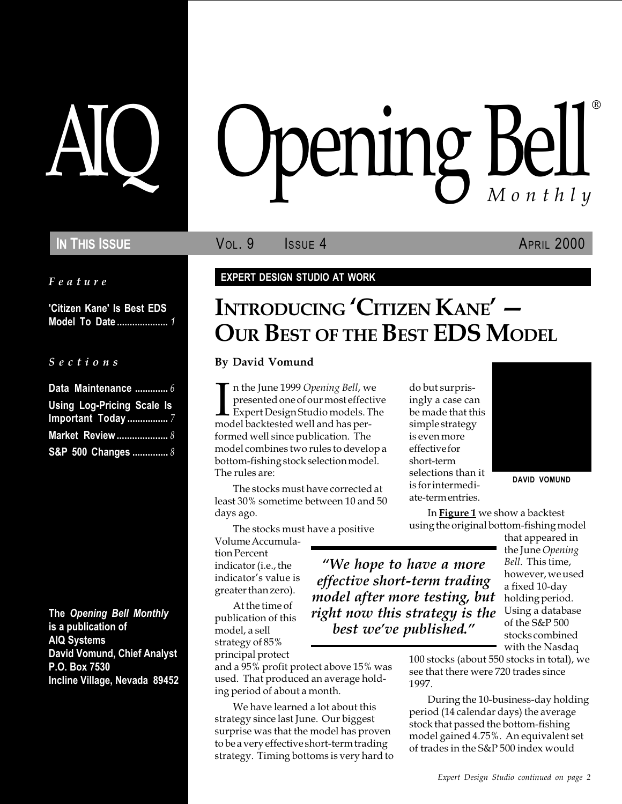Feature

'Citizen Kane' Is Best EDS Model To Date .................... 1

#### S e c t i o n s

| Data Maintenance  6               |
|-----------------------------------|
| <b>Using Log-Pricing Scale Is</b> |
|                                   |
| <b>Market Review </b> 8           |
| S&P 500 Changes  8                |

The Opening Bell Monthly is a publication of AIQ Systems David Vomund, Chief Analyst P.O. Box 7530 Incline Village, Nevada 89452

# AIQ Opening Bell ®

**IN THIS ISSUE VOL. 9** ISSUE 4 APRIL 2000

#### EXPERT DESIGN STUDIO AT WORK

# INTRODUCING 'CITIZEN KANE' -OUR BEST OF THE BEST EDS MODEL

We hope to have a more effective short-term trading model after more testing, but right now this strategy is the best we've published."

#### By David Vomund

In the June 1999 Opening Bell, w<br>presented one of our most effect<br>Expert Design Studio models. T<br>model backtested well and has pern the June 1999 Opening Bell, we presented one of our most effective Expert Design Studio models. The formed well since publication. The model combines two rules to develop a bottom-fishing stock selection model. The rules are:

The stocks must have corrected at least 30% sometime between 10 and 50 days ago.

The stocks must have a positive Volume Accumulation Percent

indicator (i.e., the indicator's value is greater than zero).

At the time of publication of this model, a sell strategy of 85% principal protect

and a 95% profit protect above 15% was used. That produced an average holding period of about a month.

We have learned a lot about this strategy since last June. Our biggest surprise was that the model has proven to be a very effective short-term trading strategy. Timing bottoms is very hard to do but surprisingly a case can be made that this simple strategy is even more effective for short-term selections than it is for intermediate-term entries.



DAVID VOMUND

In **Figure 1** we show a backtest using the original bottom-fishing model

that appeared in the June Opening Bell. This time, however, we used a fixed 10-day holding period. Using a database of the S&P 500 stocks combined with the Nasdaq

100 stocks (about 550 stocks in total), we see that there were 720 trades since 1997.

During the 10-business-day holding period (14 calendar days) the average stock that passed the bottom-fishing model gained 4.75%. An equivalent set of trades in the S&P 500 index would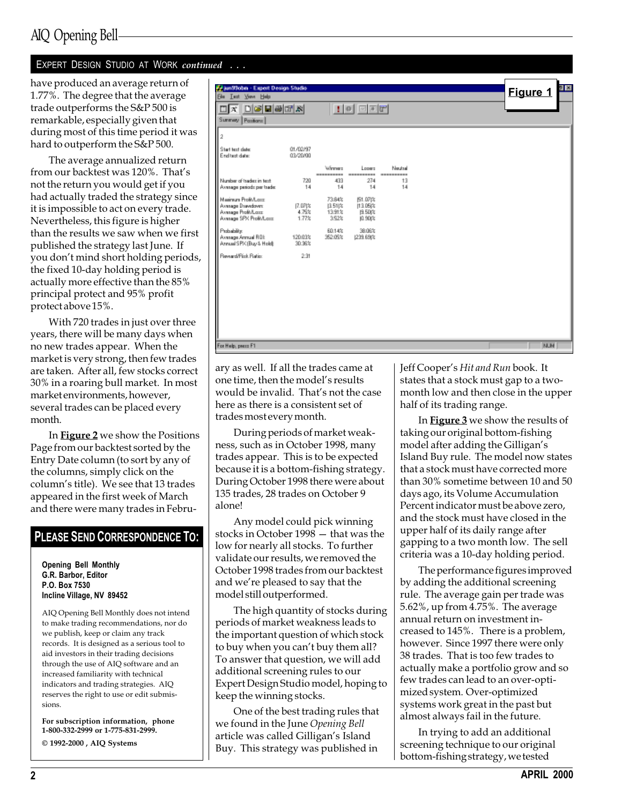1.77%. The degree that the average trade outperforms the S&P 500 is remarkable, especially given that during most of this time period it was hard to outperform the S&P 500.

The average annualized return from our backtest was 120%. That's not the return you would get if you had actually traded the strategy since it is impossible to act on every trade. Nevertheless, this figure is higher than the results we saw when we first published the strategy last June. If you don't mind short holding periods, the fixed 10-day holding period is actually more effective than the 85% principal protect and 95% profit protect above 15%.

With 720 trades in just over three years, there will be many days when no new trades appear. When the market is very strong, then few trades are taken. After all, few stocks correct 30% in a roaring bull market. In most market environments, however, several trades can be placed every month.

In Figure 2 we show the Positions Page from our backtest sorted by the Entry Date column (to sort by any of the columns, simply click on the column's title). We see that 13 trades appeared in the first week of March and there were many trades in Febru-

## PLEASE SEND CORRESPONDENCE TO:

Opening Bell Monthly G.R. Barbor, Editor P.O. Box 7530 Incline Village, NV 89452

AIQ Opening Bell Monthly does not intend to make trading recommendations, nor do we publish, keep or claim any track records. It is designed as a serious tool to aid investors in their trading decisions through the use of AIQ software and an increased familiarity with technical indicators and trading strategies. AIQ reserves the right to use or edit submissions.

For subscription information, phone 1-800-332-2999 or 1-775-831-2999. © 1992-2000 , AIQ Systems

have produced an average return of the state of the state of the state of the state of the state of the state of the state of the state of the state of the state of the state of the state of the state of the state of the s  $\Box X$   $\Box G$   $\Box B$   $\Box K$  $|1000$ Summey Pasiform  $\overline{2}$ **Start text date** 01/02/97 End test date 03/20/00 Winner Looms Neutral Number of tradez in text 720 274 433 13 Average periods per trade  $14$  $14$  $14$ Maginary Profit/Long 73.84% IS1.071% 11.05 % Avenage Drawdown<br>Avenage Profit/Lorre  $\frac{7.07}{3.752}$ 1512 19.50 k 13.91% Average SPX Profit/Lass 1.77% 352% i0.90t% 60.14% 38.06% Probability Avenua Annual ROI: 120.03% 352.05% 1239,6903 Annual SPX (Buy & Hold) 30.96% Research Párk Patien 2.91 For Help, peace F1 **NJN** 

> ary as well. If all the trades came at one time, then the model's results would be invalid. That's not the case here as there is a consistent set of trades most every month.

During periods of market weakness, such as in October 1998, many trades appear. This is to be expected because it is a bottom-fishing strategy. During October 1998 there were about 135 trades, 28 trades on October 9 alone!

Any model could pick winning stocks in October  $1998 -$  that was the low for nearly all stocks. To further validate our results, we removed the October 1998 trades from our backtest and we're pleased to say that the model still outperformed.

The high quantity of stocks during periods of market weakness leads to the important question of which stock to buy when you can't buy them all? To answer that question, we will add additional screening rules to our Expert Design Studio model, hoping to keep the winning stocks.

One of the best trading rules that we found in the June Opening Bell article was called Gilligan's Island Buy. This strategy was published in

Jeff Cooper's Hit and Run book. It states that a stock must gap to a twomonth low and then close in the upper half of its trading range.

In **Figure 3** we show the results of taking our original bottom-fishing model after adding the Gilligan's Island Buy rule. The model now states that a stock must have corrected more than 30% sometime between 10 and 50 days ago, its Volume Accumulation Percent indicator must be above zero, and the stock must have closed in the upper half of its daily range after gapping to a two month low. The sell criteria was a 10-day holding period.

The performance figures improved by adding the additional screening rule. The average gain per trade was 5.62%, up from 4.75%. The average annual return on investment increased to 145%. There is a problem, however. Since 1997 there were only 38 trades. That is too few trades to actually make a portfolio grow and so few trades can lead to an over-optimized system. Over-optimized systems work great in the past but almost always fail in the future.

In trying to add an additional screening technique to our original bottom-fishing strategy, we tested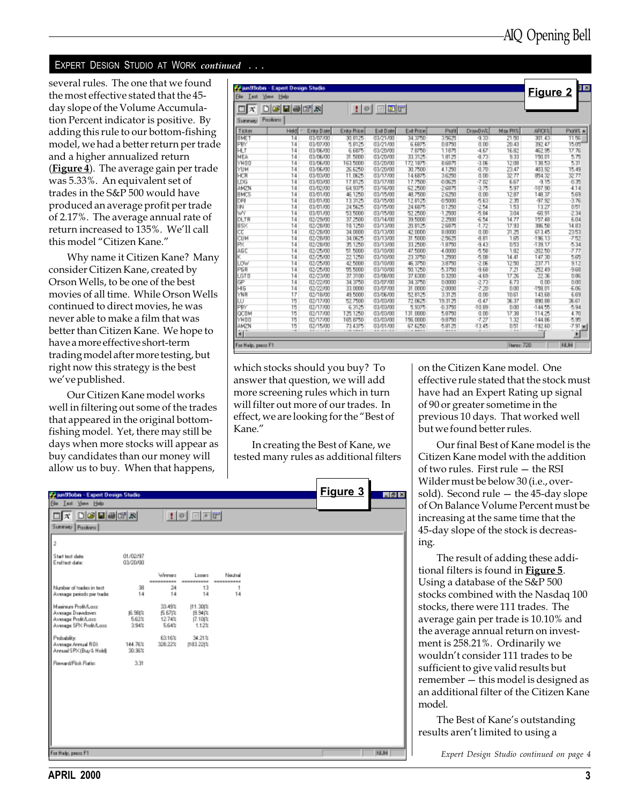several rules. The one that we found the most effective stated that the 45 day slope of the Volume Accumulation Percent indicator is positive. By adding this rule to our bottom-fishing model, we had a better return per trade and a higher annualized return (**Figure 4**). The average gain per trade was 5.33%. An equivalent set of trades in the S&P 500 would have produced an average profit per trade of 2.17%. The average annual rate of return increased to 135%. We'll call this model "Citizen Kane."

Why name it Citizen Kane? Many consider Citizen Kane, created by Orson Wells, to be one of the best movies of all time. While Orson Wells continued to direct movies, he was never able to make a film that was better than Citizen Kane. We hope to have a more effective short-term trading model after more testing, but right now this strategy is the best we've published.

Our Citizen Kane model works well in filtering out some of the trades that appeared in the original bottomfishing model. Yet, there may still be days when more stocks will appear as buy candidates than our money will allow us to buy. When that happens,

| <b>Ele</b><br><b>SSIM</b><br>Test | <b>Help</b> |            |             |                |                |               |          |           | <b>Figure 2</b> | Ä          |
|-----------------------------------|-------------|------------|-------------|----------------|----------------|---------------|----------|-----------|-----------------|------------|
| lat                               | 미터미리퍼서      |            |             | $\blacksquare$ |                |               |          |           |                 |            |
| Pazitianz<br><b>Summary</b>       |             |            |             |                |                |               |          |           |                 |            |
| Ticker                            | <b>Held</b> | Entry Date | Entry Price | Exit Date      | Exit Price     | Piolit        | DrawDn22 | Nai Pitti | AROIX           | Plotate in |
| <b>BMET</b>                       | 14          | 03/07/00   | 30.8125     | 03/21/00       | 34.3750        | 35575         | -9.33    | 21.50     | 301.43          | 11.56      |
| PBY                               | 14          | 03/07/00   | 5.8125      | 03/21/00       | <b>6.6875</b>  | 0.9750        | 0.00     | 20.43     | 332.47          | 15.05      |
| HТ                                | 14          | 03/06/00   | 6,6875      | 03/20/00       | 7.8750         | 1,1975        | -4.67    | 16.92     | 462.95          | 17.76      |
| MFA                               | 14          | 03/06/00   | 31,5000     | 03/20/00       | 33.3125        | 1.9125        | 4.73     | 9.33      | 150.01          | 5.75       |
| YHOO                              | 14          | 03/06/00   | 163,5000    | 03/20/00       | 172.1875       | BBB市          | $-3.06$  | 12.09     | 139.53          | 5.31       |
| YUM                               | 14          | 03/06/00   | 26,6250     | 03/20/00       | 30,7500        | 4.1250        | 4.70     | 23.47     | 403.92          | 15.49      |
| HCR                               | 14          | 03/03/00   | 11.0625     | 03/17/00       | <b>14 6875</b> | 36200         | 0.00     | 32.77     | 854.32          | 32.77      |
| LDG                               | 14          | 03/03/00   | 17.8125     | 03/17/00       | 17,7500        | $-0.0525$     | $-7.02$  | 5.57      | $-9.15$         | $-0.35$    |
| <b>AMZN</b>                       | 14          | 03/02/00   | 64.9375     | 03/16/00       | 62 2500        | $-2.6976$     | -3.75    | 5.97      | $-107.90$       | $-4.14$    |
| <b>BMCS</b>                       | 14          | 03/01/00   | 46.1250     | 03/15/00       | 49.7500        | 26200         | 0.00     | 12.97     | 149.37          | 5.69       |
| DRI                               | 14          | 03/01/00   | 13.3125     | 03/15/00       | 12 8125        | $-0.5000$     | $-5.63$  | 235       | 97.52           | $-3.76$    |
| <b>TIN</b>                        | 14          | 03/07/00   | 24,5625     | 03/15/00       | 24 6875        | 0.1250        | $-2.54$  | 1.53      | 13.27           | 0.51       |
| WY                                | 14          | 03/01/00   | 53,5000     | 03/15/00       | 52.2500        | $-1,2500$     | 石 R4     | 304       | $-60.91$        | $-2.34$    |
| DLTR                              | 14          | 02/29/00   | 37.2500     | 03/14/00       | 39,5000        | 2.7500        | 6.54     | 14.77     | 157.4B          | 6.04       |
| <b>BSK</b>                        | 14          | 02/28/00   | 18.1250     | 03/13/00       | 20,8125        | 269万          | $-1.72$  | 17.93     | 396.58          | 14.93      |
| cτ                                | 14          | 02/28/00   | 34,0000     | 03/13/00       | 42 0000        | <b>B.0000</b> | 0.00     | 31.25     | 613.45          | 23.53      |
| CUМ                               | 14          | 02/28/00   | 34.0625     | 03/13/00       | 31,5000        | $-25625$      | 祖国       | 1.65      | $-196.13$       | $-7.52$    |
| w                                 | 14          | 02/28/00   | 35,1250     | 03/13/00       | 33,2500        | $-1,8750$     | $-9.43$  | 0.53      | $-1.39$ 17      | -5.34      |
| AG <sub>C</sub>                   | 14          | 02/25/00   | 51,5000     | 03/10/00       | 47,5000        | $-4.0000$     | -5.58    | 1.82      | $-202.50$       | -7.77      |
|                                   | 14          | 02/25/00   | 221250      | 03/10/00       | 23.3750        | 1,7500        | 看頂       | 14.41     | 147.30          | 5.65       |
| <b>LOW</b>                        | 14          | 02/25/00   | 42,5000     | 03/10/00       | 46.3750        | 3.9750        | $-2.06$  | 12.50     | 237.71          | 9.12       |
| <b>PGR</b>                        | 14          | 02/25/00   | 55,5000     | 03/10/00       | 50.1250        | -5.3750       | $-9.58$  | 7.21      | $-752.49$       | $-9.69$    |
| LGTD                              | 14          | 02/23/00   | 37.3100     | 03/08/00       | 37,6300        | 0.3200        | $-4.69$  | 17.26     | 22.36           | 0.95       |
| œ                                 | 14          | 02/22/00   | 34.3750     | 03/07/00       | 34.3750        | 0.0000        | $-273$   | 6.73      | 0.00            | 0.00       |
| H <sub>5</sub>                    | 14          | 02/22/00   | 33,0000     | 03/07/00       | 31,0000        | $-2,0000$     | $-7.20$  | n m       | $-159.01$       | $+0.05$    |
| YNR                               | 17          | 02/18/00   | 49,5000     | 03/06/00       | 52 8125        | 3.31.25       | 0.00     | 10.61     | 143.6B          | 6.69       |
| ш                                 | 15          | 02/17/00   | 52,7500     | 03/03/00       | 72.0625        | 19.3125       | $-0.47$  | 36.37     | 931 BB          | 36.61      |
| <b>PBY</b>                        | 15          | 02/17/00   | 6.3125      | 03/03/00       | 5,8375         | $-0.3750$     | $-10.89$ | 0.00      | -144.55         | $-5.94$    |
| OCTM                              | 15          | 02/17/00   | 125,1250    | 03/03/00       | 131,0000       | 5.9750        | 0.00     | 17.39     | 114.25          | 4.70       |
| YHOO                              | 15          | 02/17/00   | 165, R750   | 03/03/00       | 156,0000       | $-9.9750$     | -7.27    | 132       | $-144.86$       | -535       |
| AMZN                              | 15          | 02/15/00   | 73.4375     | 03/03/00       | 67.6250        | -5.9125       | $-13.45$ | 0.51      | $-192.60$       | $-7.91 =$  |
| ¥Π                                | c.          |            | -------     |                |                | -----         |          | $ +$ $+$  |                 | Ĥ          |

which stocks should you buy? To answer that question, we will add more screening rules which in turn will filter out more of our trades. In effect, we are looking for the "Best of Kane.

In creating the Best of Kane, we tested many rules as additional filters

| Prius Stohn - Expert Design Studio                                                       |                           |                                  |                                     |                       |  | Figure 3 | $ \theta$ x |
|------------------------------------------------------------------------------------------|---------------------------|----------------------------------|-------------------------------------|-----------------------|--|----------|-------------|
| Ele Lest Your Help                                                                       |                           |                                  |                                     |                       |  |          |             |
| $\Box x$ deems                                                                           |                           |                                  | $\Box$ $\Box$                       |                       |  |          |             |
| Summey Pazitions                                                                         |                           |                                  |                                     |                       |  |          |             |
| $\overline{2}$                                                                           |                           |                                  |                                     |                       |  |          |             |
| Start text date:<br>End test date:                                                       | 01/02/97<br>03/20/00      |                                  |                                     |                       |  |          |             |
|                                                                                          |                           | Winner<br>----------             | Lopers<br>----------                | Neutral<br>---------- |  |          |             |
| Number of tradez in text.<br>Average periods per trade:                                  | 38<br>14                  | 24<br>14                         | 13<br>14                            | 14                    |  |          |             |
| Mainun ProBA are<br>Average Drawdown<br>Average Profit/Lass:<br>Average SPX Profit/Lass: | 6.98  %<br>5.62%<br>3.94% | 33.49%<br>丘印な<br>12.74%<br>5.64% | (11.30)%<br>性解体<br>[7.10]%<br>1.12% |                       |  |          |             |
| Probability:<br>Avenuge Armuel ROL<br>Annual SPK (Buy & Hold):                           | 144.76%<br>30.36%         | 63.16%<br>328.22%                | 34.21%<br>(183.22)%                 |                       |  |          |             |
| Reward/Pick Ratio:                                                                       | 3.31                      |                                  |                                     |                       |  |          |             |
|                                                                                          |                           |                                  |                                     |                       |  |          |             |
|                                                                                          |                           |                                  |                                     |                       |  |          |             |
|                                                                                          |                           |                                  |                                     |                       |  |          |             |
|                                                                                          |                           |                                  |                                     |                       |  |          |             |
| For Help, peace F1                                                                       |                           |                                  |                                     |                       |  |          | <b>NUM</b>  |

on the Citizen Kane model. One effective rule stated that the stock must have had an Expert Rating up signal of 90 or greater sometime in the previous 10 days. That worked well but we found better rules.

Our final Best of Kane model is the Citizen Kane model with the addition of two rules. First rule  $-$  the RSI Wilder must be below 30 (i.e., oversold). Second rule  $-$  the 45-day slope of On Balance Volume Percent must be increasing at the same time that the 45-day slope of the stock is decreasing.

The result of adding these additional filters is found in Figure 5. Using a database of the S&P 500 stocks combined with the Nasdaq 100 stocks, there were 111 trades. The average gain per trade is 10.10% and the average annual return on investment is 258.21%. Ordinarily we wouldn't consider 111 trades to be sufficient to give valid results but remember  $-$  this model is designed as an additional filter of the Citizen Kane model.

The Best of Kane's outstanding results aren't limited to using a

Expert Design Studio continued on page 4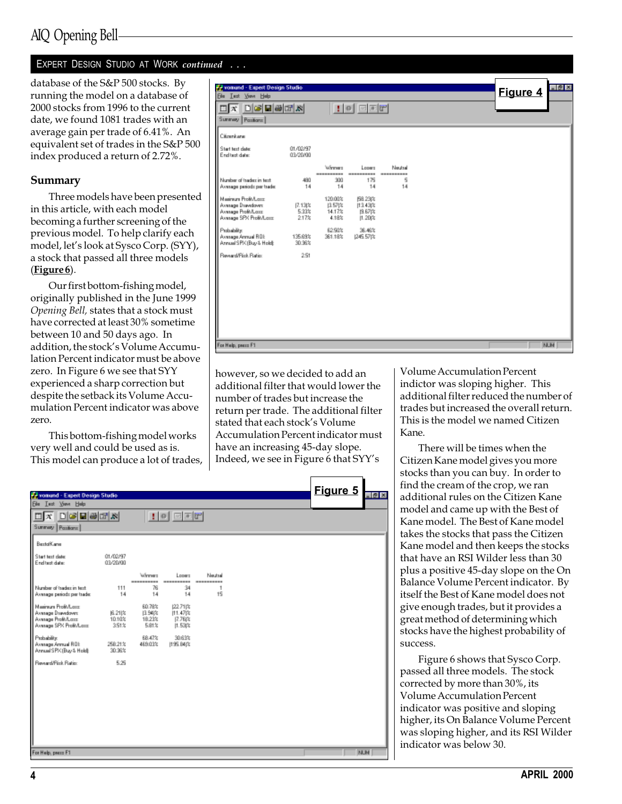database of the S&P 500 stocks. By running the model on a database of 2000 stocks from 1996 to the current date, we found 1081 trades with an average gain per trade of 6.41%. An equivalent set of trades in the S&P 500 index produced a return of 2.72%.

#### Summary

Three models have been presented in this article, with each model becoming a further screening of the previous model. To help clarify each model, let's look at Sysco Corp. (SYY), a stock that passed all three models (Figure 6).

Our first bottom-fishing model, originally published in the June 1999 Opening Bell, states that a stock must have corrected at least 30% sometime between 10 and 50 days ago. In addition, the stock's Volume Accumulation Percent indicator must be above zero. In Figure 6 we see that SYY experienced a sharp correction but despite the setback its Volume Accumulation Percent indicator was above zero.

This bottom-fishing model works very well and could be used as is. This model can produce a lot of trades,

| $\Box X$ $\Box G$ $\Box G$ $\Box R$<br>102<br>Summey Pasiform<br>Citizenkaren<br>Start text date:<br>01/02/97<br>End test date:<br>03/20/00<br>Winner<br>Nextal<br>Longro<br>----------<br>----------<br>-----------<br>300<br>175<br>5<br>Number of tradec in text.<br>490<br>14<br>14<br>14<br>14<br>Average periods per trade:<br>Mainun ProBA are<br>120.00%<br>(58.23)%<br>Average Drawdown:<br>13.57比<br>[7.13]%<br>11:143 2<br>Average Profit/Lass<br>14.17%<br>5.33%<br>性的物<br>Average SPX Profit/Loss:<br>2.17%<br>4.18%<br>11.20(%)<br>Probability:<br>62.50%<br>36.46%<br>Average Annual ROE<br>245.57)%<br>135,69%<br>361.18%<br>Annual SPK (Buy & Hold):<br>30.36%<br>Reward/Fisk Ratio:<br>251 | Fromund - Expert Design Studio<br><b>Ele Iest View Help</b> |  |  |  | Figure 4 | 모인 X       |
|--------------------------------------------------------------------------------------------------------------------------------------------------------------------------------------------------------------------------------------------------------------------------------------------------------------------------------------------------------------------------------------------------------------------------------------------------------------------------------------------------------------------------------------------------------------------------------------------------------------------------------------------------------------------------------------------------------------|-------------------------------------------------------------|--|--|--|----------|------------|
|                                                                                                                                                                                                                                                                                                                                                                                                                                                                                                                                                                                                                                                                                                              |                                                             |  |  |  |          |            |
|                                                                                                                                                                                                                                                                                                                                                                                                                                                                                                                                                                                                                                                                                                              |                                                             |  |  |  |          |            |
|                                                                                                                                                                                                                                                                                                                                                                                                                                                                                                                                                                                                                                                                                                              |                                                             |  |  |  |          |            |
|                                                                                                                                                                                                                                                                                                                                                                                                                                                                                                                                                                                                                                                                                                              |                                                             |  |  |  |          |            |
|                                                                                                                                                                                                                                                                                                                                                                                                                                                                                                                                                                                                                                                                                                              |                                                             |  |  |  |          |            |
|                                                                                                                                                                                                                                                                                                                                                                                                                                                                                                                                                                                                                                                                                                              |                                                             |  |  |  |          |            |
|                                                                                                                                                                                                                                                                                                                                                                                                                                                                                                                                                                                                                                                                                                              |                                                             |  |  |  |          |            |
|                                                                                                                                                                                                                                                                                                                                                                                                                                                                                                                                                                                                                                                                                                              |                                                             |  |  |  |          |            |
|                                                                                                                                                                                                                                                                                                                                                                                                                                                                                                                                                                                                                                                                                                              |                                                             |  |  |  |          |            |
|                                                                                                                                                                                                                                                                                                                                                                                                                                                                                                                                                                                                                                                                                                              |                                                             |  |  |  |          |            |
| For Help, peace F1                                                                                                                                                                                                                                                                                                                                                                                                                                                                                                                                                                                                                                                                                           |                                                             |  |  |  |          | <b>NUM</b> |

however, so we decided to add an additional filter that would lower the number of trades but increase the return per trade. The additional filter stated that each stock's Volume Accumulation Percent indicator must have an increasing 45-day slope. Indeed, we see in Figure 6 that SYYs

|                                                                                           |                            |                                     |                                                                |                       |  | Figure 5 |            |
|-------------------------------------------------------------------------------------------|----------------------------|-------------------------------------|----------------------------------------------------------------|-----------------------|--|----------|------------|
| <b>Favoriund - Expert Design Studio</b><br>Ele Lest Your Help                             |                            |                                     |                                                                |                       |  |          | $-16x$     |
| 미치 미어민이에서                                                                                 |                            |                                     |                                                                |                       |  |          |            |
|                                                                                           |                            |                                     | $\vert \cdot \vert$ of $\vert \cdot \vert$ $\vert \cdot \vert$ |                       |  |          |            |
| Summary   Pazitians                                                                       |                            |                                     |                                                                |                       |  |          |            |
| BestofKane                                                                                |                            |                                     |                                                                |                       |  |          |            |
| Start text date:<br>End test date:                                                        | 01/02/97<br>03/20/00       |                                     |                                                                |                       |  |          |            |
|                                                                                           |                            | Weeker<br>----------                | Lopers<br>----------                                           | Neutral<br>---------- |  |          |            |
| Number of tradec in text.<br>Average periods per trade:                                   | 111<br>14                  | 76<br>14                            | 34<br>14                                                       | 1<br>15               |  |          |            |
| Mainun Profi/Loss<br>Avenage Drawdown:<br>Average Profit/Lass<br>Avesage SPX Profit/Lass: | 6.21  2<br>10.10%<br>3.51% | 60.78%<br>13.94次<br>18.23%<br>5.81% | 22.71次<br> 11.47 %<br>17.76(%<br>$[1.53]$ %                    |                       |  |          |            |
| Probability:<br>Average Annual ROE<br>Annual SPK (Buy & Hold):                            | 258.21%<br>30.36%          | 68.47%<br>469.03%                   | 30.63%<br>195.B4(%                                             |                       |  |          |            |
| Reward/Pisk Ratio:                                                                        | 5.25                       |                                     |                                                                |                       |  |          |            |
|                                                                                           |                            |                                     |                                                                |                       |  |          |            |
|                                                                                           |                            |                                     |                                                                |                       |  |          |            |
|                                                                                           |                            |                                     |                                                                |                       |  |          |            |
|                                                                                           |                            |                                     |                                                                |                       |  |          |            |
|                                                                                           |                            |                                     |                                                                |                       |  |          |            |
| For Help, peace F1                                                                        |                            |                                     |                                                                |                       |  |          | <b>NUM</b> |

Volume Accumulation Percent indictor was sloping higher. This additional filter reduced the number of trades but increased the overall return. This is the model we named Citizen Kane.

There will be times when the Citizen Kane model gives you more stocks than you can buy. In order to find the cream of the crop, we ran additional rules on the Citizen Kane model and came up with the Best of Kane model. The Best of Kane model takes the stocks that pass the Citizen Kane model and then keeps the stocks that have an RSI Wilder less than 30 plus a positive 45-day slope on the On Balance Volume Percent indicator. By itself the Best of Kane model does not give enough trades, but it provides a great method of determining which stocks have the highest probability of success.

Figure 6 shows that Sysco Corp. passed all three models. The stock corrected by more than 30%, its Volume Accumulation Percent indicator was positive and sloping higher, its On Balance Volume Percent was sloping higher, and its RSI Wilder indicator was below 30.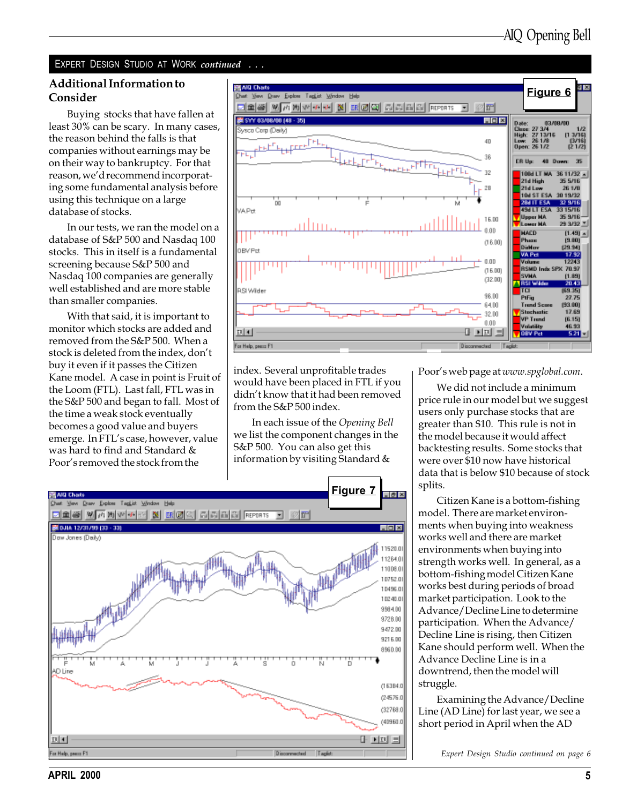#### Additional Information to Consider

Buying stocks that have fallen at least 30% can be scary. In many cases, the reason behind the falls is that companies without earnings may be on their way to bankruptcy. For that reason, we'd recommend incorporating some fundamental analysis before using this technique on a large database of stocks.

In our tests, we ran the model on a database of S&P 500 and Nasdaq 100 stocks. This in itself is a fundamental screening because S&P 500 and Nasdaq 100 companies are generally well established and are more stable than smaller companies.

With that said, it is important to monitor which stocks are added and removed from the S&P 500. When a stock is deleted from the index, don't buy it even if it passes the Citizen Kane model. A case in point is Fruit of the Loom (FTL). Last fall, FTL was in the S&P 500 and began to fall. Most of the time a weak stock eventually becomes a good value and buyers emerge. In FTL's case, however, value was hard to find and Standard & Poor's removed the stock from the



index. Several unprofitable trades would have been placed in FTL if you didn't know that it had been removed from the S&P 500 index.

In each issue of the Opening Bell we list the component changes in the S&P 500. You can also get this information by visiting Standard &



Poor's web page at www.spglobal.com.

We did not include a minimum price rule in our model but we suggest users only purchase stocks that are greater than \$10. This rule is not in the model because it would affect backtesting results. Some stocks that were over \$10 now have historical data that is below \$10 because of stock splits.

Citizen Kane is a bottom-fishing model. There are market environments when buying into weakness works well and there are market environments when buying into strength works well. In general, as a bottom-fishing model Citizen Kane works best during periods of broad market participation. Look to the Advance/Decline Line to determine participation. When the Advance/ Decline Line is rising, then Citizen Kane should perform well. When the Advance Decline Line is in a downtrend, then the model will struggle.

Examining the Advance/Decline Line (AD Line) for last year, we see a short period in April when the AD

Expert Design Studio continued on page 6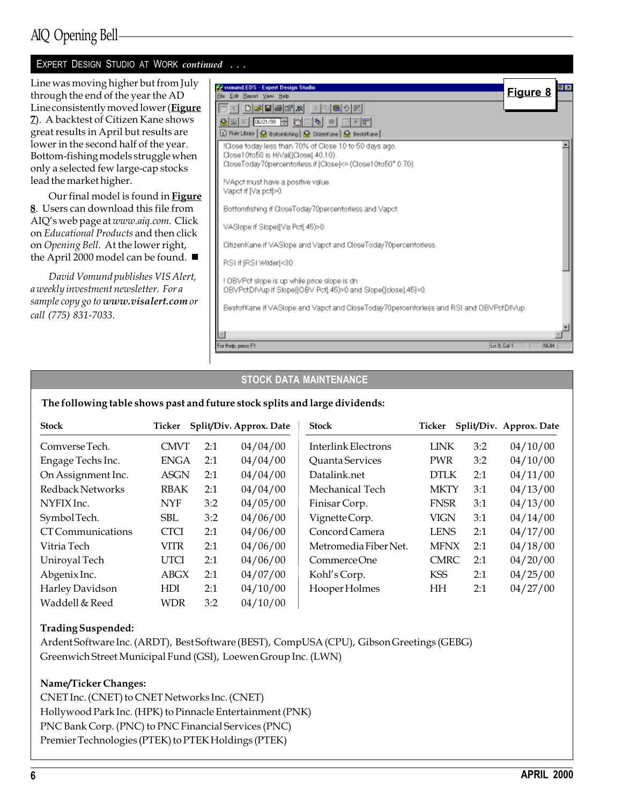Line was moving higher but from July through the end of the year the AD Line consistently moved lower (Figure 7). A backtest of Citizen Kane shows great results in April but results are lower in the second half of the year. Bottom-fishing models struggle when only a selected few large-cap stocks lead the market higher.

Our final model is found in **Figure** 8. Users can download this file from AIQ's web page at www.aiq.com. Click on Educational Products and then click on Opening Bell. At the lower right, the April 2000 model can be found.  $\blacksquare$ 

David Vomund publishes VIS Alert, a weekly investment newsletter. For a sample copy go to www.visalert.com or call (775) 831-7033.

| vonund EDS - Expert Design Studio                                                                 | 위치         |  |
|---------------------------------------------------------------------------------------------------|------------|--|
| <b>Elle Edit Beport View Help</b>                                                                 | Figure 8   |  |
| OX DGBGX XDBOR                                                                                    |            |  |
| on del<br>G 로 E 106/21/39 공 [접]                                                                   |            |  |
| 19 Rule Library   <mark>⊙</mark> Boltomliching   ⊙ DiberiKane   ⊙ Bestoff.ane                     |            |  |
| !Close today less than 70% of Close 10 to 50 days ago.                                            |            |  |
| Close10to50 is HiVal(Close).40.10).<br>CloseToday70percentorless if [Close]<= (Close10to50*0.70). |            |  |
|                                                                                                   |            |  |
| !VApct must have a positive value.<br>Vapet if [Va.pet]>0.                                        |            |  |
|                                                                                                   |            |  |
| Bottomfishing if CloseToday70percentorless and Vapct.                                             |            |  |
| VASlope if Slope[[Va Pct].45]>0.                                                                  |            |  |
| CitizenKane if VASlope and Vapct and CloseToday?Opercentorless.                                   |            |  |
| RSI if [RSI Wilder]<30.                                                                           |            |  |
| ! OBVPct slope is up while price slope is dn                                                      |            |  |
| 0BVPctDIVup if Slope[[OBV Pct].45)>0 and Slope(]close].45]<0.                                     |            |  |
| BestofKane if VAStope and Vapct and CloseToday70percentorless and RSI and OBVPctDIVup.            |            |  |
|                                                                                                   |            |  |
| ×                                                                                                 |            |  |
| For Help, peace F1<br>Ln 9, Cal 1                                                                 | <b>NUM</b> |  |

#### STOCK DATA MAINTENANCE

#### The following table shows past and future stock splits and large dividends:

| <b>Stock</b>       | Ticker      |     | Split/Div. Approx. Date | <b>Stock</b>               | Ticker      |     | Split/Div. Approx. Date |
|--------------------|-------------|-----|-------------------------|----------------------------|-------------|-----|-------------------------|
| Comverse Tech.     | <b>CMVT</b> | 2:1 | 04/04/00                | <b>Interlink Electrons</b> | <b>LINK</b> | 3:2 | 04/10/00                |
| Engage Techs Inc.  | <b>ENGA</b> | 2:1 | 04/04/00                | Quanta Services            | <b>PWR</b>  | 3:2 | 04/10/00                |
| On Assignment Inc. | <b>ASGN</b> | 2:1 | 04/04/00                | Datalink.net               | <b>DTLK</b> | 2:1 | 04/11/00                |
| Redback Networks   | <b>RBAK</b> | 2:1 | 04/04/00                | Mechanical Tech            | <b>MKTY</b> | 3:1 | 04/13/00                |
| NYFIX Inc.         | NYF         | 3:2 | 04/05/00                | Finisar Corp.              | <b>FNSR</b> | 3:1 | 04/13/00                |
| Symbol Tech.       | <b>SBL</b>  | 3:2 | 04/06/00                | Vignette Corp.             | <b>VIGN</b> | 3:1 | 04/14/00                |
| CT Communications  | <b>CTCI</b> | 2:1 | 04/06/00                | Concord Camera             | <b>LENS</b> | 2:1 | 04/17/00                |
| Vitria Tech        | VITR        | 2:1 | 04/06/00                | Metromedia Fiber Net.      | <b>MFNX</b> | 2:1 | 04/18/00                |
| Uniroyal Tech      | <b>UTCI</b> | 2:1 | 04/06/00                | Commerce One               | <b>CMRC</b> | 2:1 | 04/20/00                |
| Abgenix Inc.       | <b>ABGX</b> | 2:1 | 04/07/00                | Kohl's Corp.               | <b>KSS</b>  | 2:1 | 04/25/00                |
| Harley Davidson    | HDI         | 2:1 | 04/10/00                | Hooper Holmes              | HH          | 2:1 | 04/27/00                |
| Waddell & Reed     | WDR         | 3:2 | 04/10/00                |                            |             |     |                         |

#### Trading Suspended:

Ardent Software Inc. (ARDT), Best Software (BEST), CompUSA (CPU), Gibson Greetings (GEBG) Greenwich Street Municipal Fund (GSI), Loewen Group Inc. (LWN)

#### Name/Ticker Changes:

CNET Inc. (CNET) to CNET Networks Inc. (CNET) Hollywood Park Inc. (HPK) to Pinnacle Entertainment (PNK) PNC Bank Corp. (PNC) to PNC Financial Services (PNC) Premier Technologies (PTEK) to PTEK Holdings (PTEK)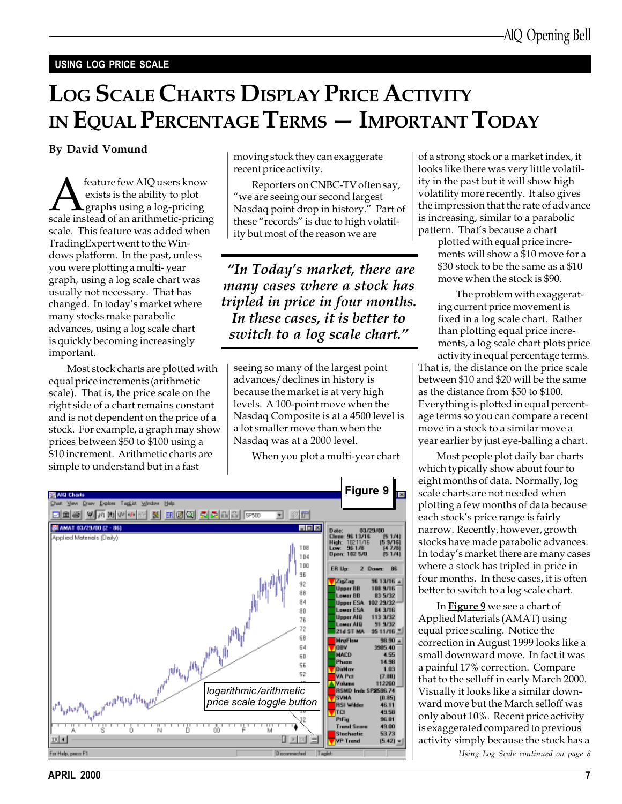#### USING LOG PRICE SCALE

# LOG SCALE CHARTS DISPLAY PRICE ACTIVITY IN EQUAL PERCENTAGE TERMS - IMPORTANT TODAY

#### By David Vomund

**A** feature few AIQ users know<br>exists is the ability to plot<br>scale instead of an arithmetic-pricing exists is the ability to plot  $\blacktriangle$  graphs using a log-pricing scale. This feature was added when TradingExpert went to the Windows platform. In the past, unless you were plotting a multi- year graph, using a log scale chart was usually not necessary. That has changed. In today's market where many stocks make parabolic advances, using a log scale chart is quickly becoming increasingly important.

Most stock charts are plotted with equal price increments (arithmetic scale). That is, the price scale on the right side of a chart remains constant and is not dependent on the price of a stock. For example, a graph may show prices between \$50 to \$100 using a \$10 increment. Arithmetic charts are simple to understand but in a fast

moving stock they can exaggerate recent price activity.

Reporters on CNBC-TV often say, we are seeing our second largest Nasdaq point drop in history." Part of these "records" is due to high volatility but most of the reason we are

"In Today's market, there are many cases where a stock has tripled in price in four months. In these cases, it is better to switch to a log scale chart."

seeing so many of the largest point advances/declines in history is because the market is at very high levels. A 100-point move when the Nasdaq Composite is at a 4500 level is a lot smaller move than when the Nasdaq was at a 2000 level.

When you plot a multi-year chart



of a strong stock or a market index, it looks like there was very little volatility in the past but it will show high volatility more recently. It also gives the impression that the rate of advance is increasing, similar to a parabolic pattern. That's because a chart

plotted with equal price increments will show a \$10 move for a \$30 stock to be the same as a \$10 move when the stock is \$90.

The problem with exaggerating current price movement is fixed in a log scale chart. Rather than plotting equal price increments, a log scale chart plots price activity in equal percentage terms.

That is, the distance on the price scale between \$10 and \$20 will be the same as the distance from \$50 to \$100. Everything is plotted in equal percentage terms so you can compare a recent move in a stock to a similar move a year earlier by just eye-balling a chart.

Most people plot daily bar charts which typically show about four to eight months of data. Normally, log scale charts are not needed when plotting a few months of data because each stock's price range is fairly narrow. Recently, however, growth stocks have made parabolic advances. In today's market there are many cases where a stock has tripled in price in four months. In these cases, it is often better to switch to a log scale chart.

In Figure 9 we see a chart of Applied Materials (AMAT) using equal price scaling. Notice the correction in August 1999 looks like a small downward move. In fact it was a painful 17% correction. Compare that to the selloff in early March 2000. Visually it looks like a similar downward move but the March selloff was only about 10%. Recent price activity is exaggerated compared to previous activity simply because the stock has a Using Log Scale continued on page 8